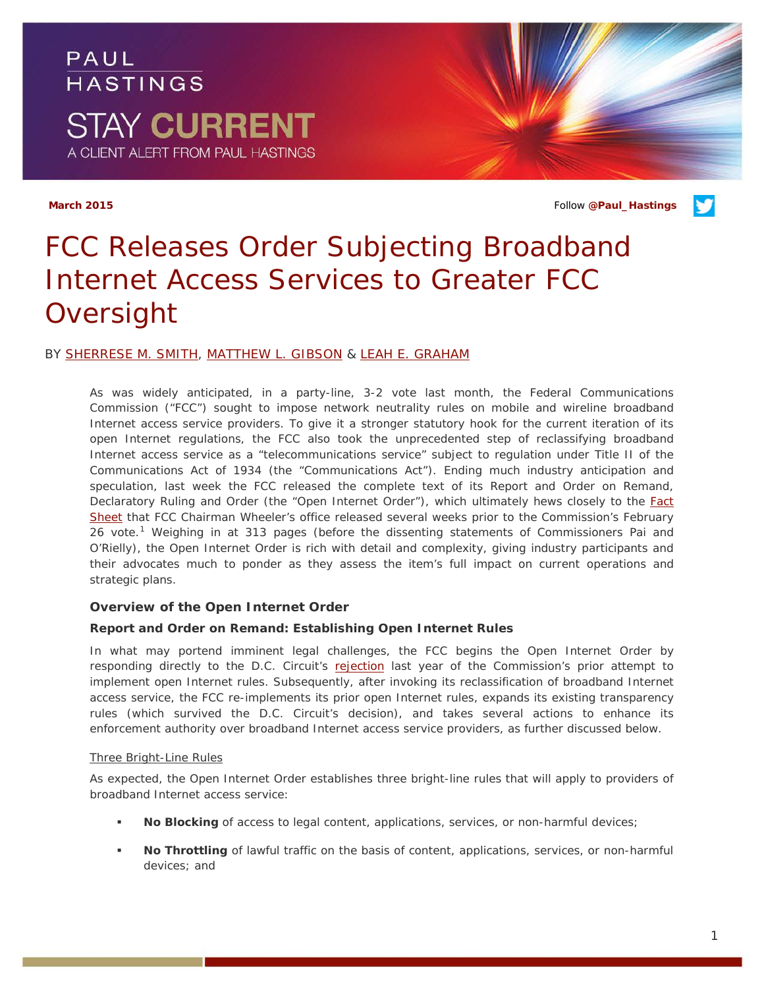PAUL **HASTINGS STAY CURRENT** A CLIENT ALERT FROM PAUL HASTINGS

**March 2015** Follow **[@Paul\\_Hastings](http://twitter.com/Paul_Hastings)**



## BY [SHERRESE M. SMITH,](http://paulhastings.com/professionals/details/sherresesmith) [MATTHEW L. GIBSON](http://paulhastings.com/professionals/details/matthewgibson) & [LEAH E. GRAHAM](http://paulhastings.com/professionals/details/leahgraham)

As was widely anticipated, in a party-line, 3-2 vote last month, the Federal Communications Commission ("FCC") sought to impose network neutrality rules on mobile and wireline broadband Internet access service providers. To give it a stronger statutory hook for the current iteration of its open Internet regulations, the FCC also took the unprecedented step of reclassifying broadband Internet access service as a "telecommunications service" subject to regulation under Title II of the Communications Act of 1934 (the "Communications Act"). Ending much industry anticipation and speculation, last week the FCC released the complete text of its Report and Order on Remand, Declaratory Ruling and Order (the "Open Internet Order"), which ultimately hews closely to the **Fact** [Sheet](http://transition.fcc.gov/Daily_Releases/Daily_Business/2015/db0204/DOC-331869A1.pdf) that FCC Chairman Wheeler's office released several weeks prior to the Commission's February 26 vote.<sup>[1](#page-4-0)</sup> Weighing in at 313 pages (before the dissenting statements of Commissioners Pai and O'Rielly), the Open Internet Order is rich with detail and complexity, giving industry participants and their advocates much to ponder as they assess the item's full impact on current operations and strategic plans.

## **Overview of the Open Internet Order**

#### *Report and Order on Remand: Establishing Open Internet Rules*

In what may portend imminent legal challenges, the FCC begins the Open Internet Order by responding directly to the D.C. Circuit's [rejection](https://apps.fcc.gov/edocs_public/attachmatch/DOC-325156A1.pdf) last year of the Commission's prior attempt to implement open Internet rules. Subsequently, after invoking its reclassification of broadband Internet access service, the FCC re-implements its prior open Internet rules, expands its existing transparency rules (which survived the D.C. Circuit's decision), and takes several actions to enhance its enforcement authority over broadband Internet access service providers, as further discussed below.

#### *Three Bright-Line Rules*

As expected, the Open Internet Order establishes three bright-line rules that will apply to providers of broadband Internet access service:

- **No Blocking** of access to legal content, applications, services, or non-harmful devices;
- **No Throttling** of lawful traffic on the basis of content, applications, services, or non-harmful devices; and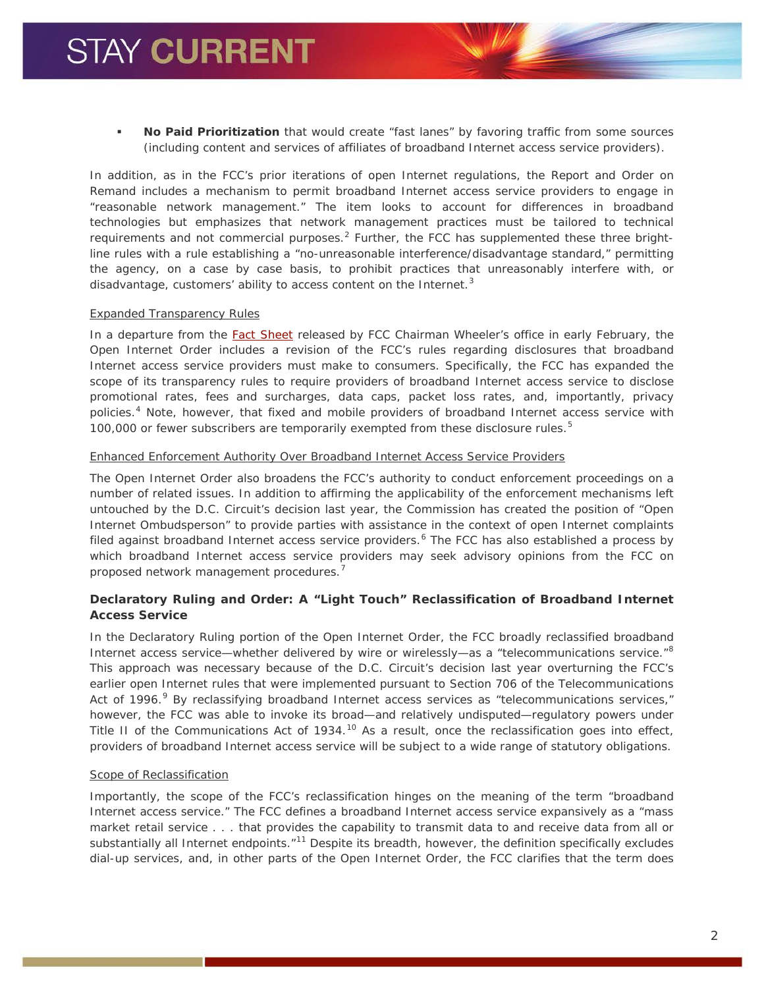**No Paid Prioritization** that would create "fast lanes" by favoring traffic from some sources (including content and services of affiliates of broadband Internet access service providers).

In addition, as in the FCC's prior iterations of open Internet regulations, the Report and Order on Remand includes a mechanism to permit broadband Internet access service providers to engage in "reasonable network management." The item looks to account for differences in broadband technologies but emphasizes that network management practices must be tailored to technical requirements and not commercial purposes.<sup>[2](#page-5-0)</sup> Further, the FCC has supplemented these three brightline rules with a rule establishing a "no-unreasonable interference/disadvantage standard," permitting the agency, on a case by case basis, to prohibit practices that unreasonably interfere with, or disadvantage, customers' ability to access content on the Internet.<sup>[3](#page-5-1)</sup>

## *Expanded Transparency Rules*

In a departure from the [Fact Sheet](http://transition.fcc.gov/Daily_Releases/Daily_Business/2015/db0204/DOC-331869A1.pdf) released by FCC Chairman Wheeler's office in early February, the Open Internet Order includes a revision of the FCC's rules regarding disclosures that broadband Internet access service providers must make to consumers. Specifically, the FCC has expanded the scope of its transparency rules to require providers of broadband Internet access service to disclose promotional rates, fees and surcharges, data caps, packet loss rates, and, importantly, privacy policies.[4](#page-5-2) Note, however, that fixed and mobile providers of broadband Internet access service with 100,000 or fewer subscribers are temporarily exempted from these disclosure rules. $5$ 

#### *Enhanced Enforcement Authority Over Broadband Internet Access Service Providers*

The Open Internet Order also broadens the FCC's authority to conduct enforcement proceedings on a number of related issues. In addition to affirming the applicability of the enforcement mechanisms left untouched by the D.C. Circuit's decision last year, the Commission has created the position of "Open Internet Ombudsperson" to provide parties with assistance in the context of open Internet complaints filed against broadband Internet access service providers.<sup>[6](#page-5-4)</sup> The FCC has also established a process by which broadband Internet access service providers may seek advisory opinions from the FCC on proposed network management procedures. [7](#page-5-5)

# *Declaratory Ruling and Order: A "Light Touch" Reclassification of Broadband Internet Access Service*

In the Declaratory Ruling portion of the Open Internet Order, the FCC broadly reclassified broadband Internet access service—whether delivered by wire or wirelessly—as a "telecommunications service."<sup>[8](#page-5-6)</sup> This approach was necessary because of the D.C. Circuit's decision last year overturning the FCC's earlier open Internet rules that were implemented pursuant to Section 706 of the Telecommunications Act of 1[9](#page-5-7)96.<sup>9</sup> By reclassifying broadband Internet access services as "telecommunications services," however, the FCC was able to invoke its broad—and relatively undisputed—regulatory powers under Title II of the Communications Act of 1934.<sup>[10](#page-5-8)</sup> As a result, once the reclassification goes into effect, providers of broadband Internet access service will be subject to a wide range of statutory obligations.

## *Scope of Reclassification*

Importantly, the scope of the FCC's reclassification hinges on the meaning of the term "broadband Internet access service." The FCC defines a broadband Internet access service expansively as a "mass market retail service . . . that provides the capability to transmit data to and receive data from all or substantially all Internet endpoints."<sup>[11](#page-5-9)</sup> Despite its breadth, however, the definition specifically excludes dial-up services, and, in other parts of the Open Internet Order, the FCC clarifies that the term does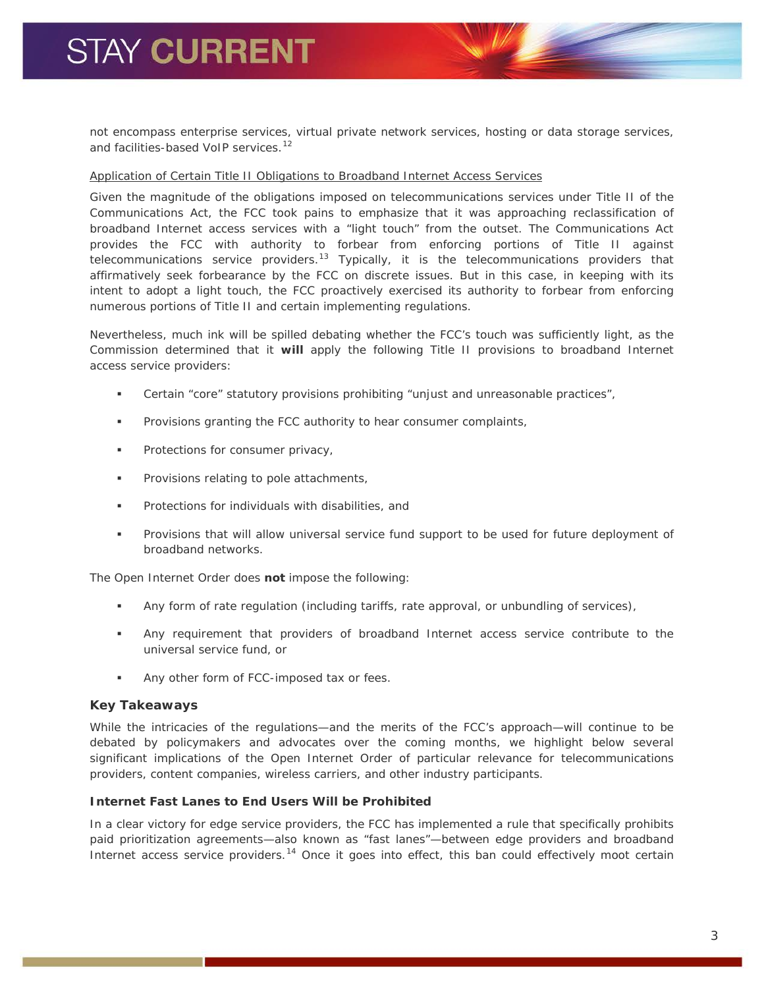# **STAY CURRENT**

not encompass enterprise services, virtual private network services, hosting or data storage services, and facilities-based VoIP services.<sup>[12](#page-5-10)</sup>

#### *Application of Certain Title II Obligations to Broadband Internet Access Services*

Given the magnitude of the obligations imposed on telecommunications services under Title II of the Communications Act, the FCC took pains to emphasize that it was approaching reclassification of broadband Internet access services with a "light touch" from the outset. The Communications Act provides the FCC with authority to forbear from enforcing portions of Title II against telecommunications service providers.<sup>[13](#page-5-11)</sup> Typically, it is the telecommunications providers that affirmatively seek forbearance by the FCC on discrete issues. But in this case, in keeping with its intent to adopt a light touch, the FCC proactively exercised its authority to forbear from enforcing numerous portions of Title II and certain implementing regulations.

Nevertheless, much ink will be spilled debating whether the FCC's touch was sufficiently light, as the Commission determined that it **will** apply the following Title II provisions to broadband Internet access service providers:

- Certain "core" statutory provisions prohibiting "unjust and unreasonable practices",
- Provisions granting the FCC authority to hear consumer complaints,
- **Protections for consumer privacy,**
- **Provisions relating to pole attachments,**
- **Protections for individuals with disabilities, and**
- Provisions that will allow universal service fund support to be used for future deployment of broadband networks.

The Open Internet Order does **not** impose the following:

- Any form of rate regulation (including tariffs, rate approval, or unbundling of services),
- Any requirement that providers of broadband Internet access service contribute to the universal service fund, or
- Any other form of FCC-imposed tax or fees.

## **Key Takeaways**

While the intricacies of the regulations—and the merits of the FCC's approach—will continue to be debated by policymakers and advocates over the coming months, we highlight below several significant implications of the Open Internet Order of particular relevance for telecommunications providers, content companies, wireless carriers, and other industry participants.

# *Internet Fast Lanes to End Users Will be Prohibited*

In a clear victory for edge service providers, the FCC has implemented a rule that specifically prohibits paid prioritization agreements—also known as "fast lanes"—between edge providers and broadband Internet access service providers.<sup>[14](#page-5-12)</sup> Once it goes into effect, this ban could effectively moot certain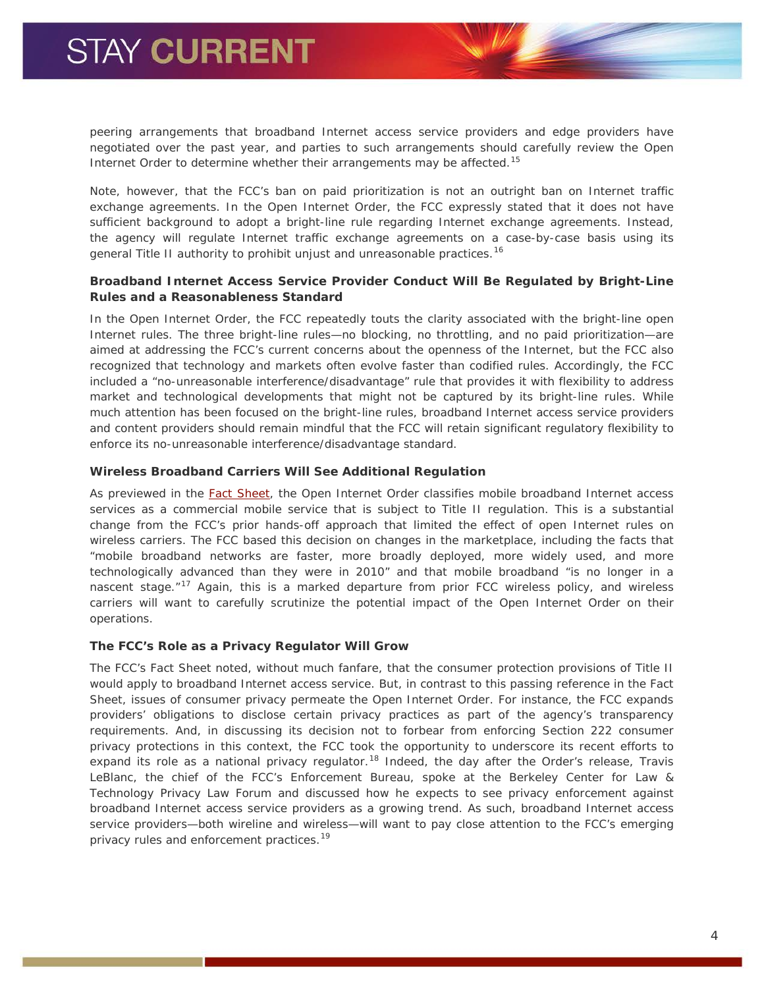peering arrangements that broadband Internet access service providers and edge providers have negotiated over the past year, and parties to such arrangements should carefully review the Open Internet Order to determine whether their arrangements may be affected.<sup>[15](#page-5-13)</sup>

Note, however, that the FCC's ban on paid prioritization is not an outright ban on Internet traffic exchange agreements. In the Open Internet Order, the FCC expressly stated that it does not have sufficient background to adopt a bright-line rule regarding Internet exchange agreements. Instead, the agency will regulate Internet traffic exchange agreements on a case-by-case basis using its general Title II authority to prohibit unjust and unreasonable practices.<sup>[16](#page-5-14)</sup>

# *Broadband Internet Access Service Provider Conduct Will Be Regulated by Bright-Line Rules and a Reasonableness Standard*

In the Open Internet Order, the FCC repeatedly touts the clarity associated with the bright-line open Internet rules. The three bright-line rules—no blocking, no throttling, and no paid prioritization—are aimed at addressing the FCC's current concerns about the openness of the Internet, but the FCC also recognized that technology and markets often evolve faster than codified rules. Accordingly, the FCC included a "no-unreasonable interference/disadvantage" rule that provides it with flexibility to address market and technological developments that might not be captured by its bright-line rules. While much attention has been focused on the bright-line rules, broadband Internet access service providers and content providers should remain mindful that the FCC will retain significant regulatory flexibility to enforce its no-unreasonable interference/disadvantage standard.

## *Wireless Broadband Carriers Will See Additional Regulation*

As previewed in the [Fact Sheet,](http://transition.fcc.gov/Daily_Releases/Daily_Business/2015/db0204/DOC-331869A1.pdf) the Open Internet Order classifies mobile broadband Internet access services as a commercial mobile service that is subject to Title II regulation. This is a substantial change from the FCC's prior hands-off approach that limited the effect of open Internet rules on wireless carriers. The FCC based this decision on changes in the marketplace, including the facts that "mobile broadband networks are faster, more broadly deployed, more widely used, and more technologically advanced than they were in 2010" and that mobile broadband "is no longer in a nascent stage."<sup>[17](#page-5-15)</sup> Again, this is a marked departure from prior FCC wireless policy, and wireless carriers will want to carefully scrutinize the potential impact of the Open Internet Order on their operations.

## *The FCC's Role as a Privacy Regulator Will Grow*

The FCC's Fact Sheet noted, without much fanfare, that the consumer protection provisions of Title II would apply to broadband Internet access service. But, in contrast to this passing reference in the Fact Sheet, issues of consumer privacy permeate the Open Internet Order. For instance, the FCC expands providers' obligations to disclose certain privacy practices as part of the agency's transparency requirements. And, in discussing its decision not to forbear from enforcing Section 222 consumer privacy protections in this context, the FCC took the opportunity to underscore its recent efforts to expand its role as a national privacy regulator.<sup>[18](#page-5-16)</sup> Indeed, the day after the Order's release, Travis LeBlanc, the chief of the FCC's Enforcement Bureau, spoke at the Berkeley Center for Law & Technology Privacy Law Forum and discussed how he expects to see privacy enforcement against broadband Internet access service providers as a growing trend. As such, broadband Internet access service providers—both wireline and wireless—will want to pay close attention to the FCC's emerging privacy rules and enforcement practices.<sup>[19](#page-5-17)</sup>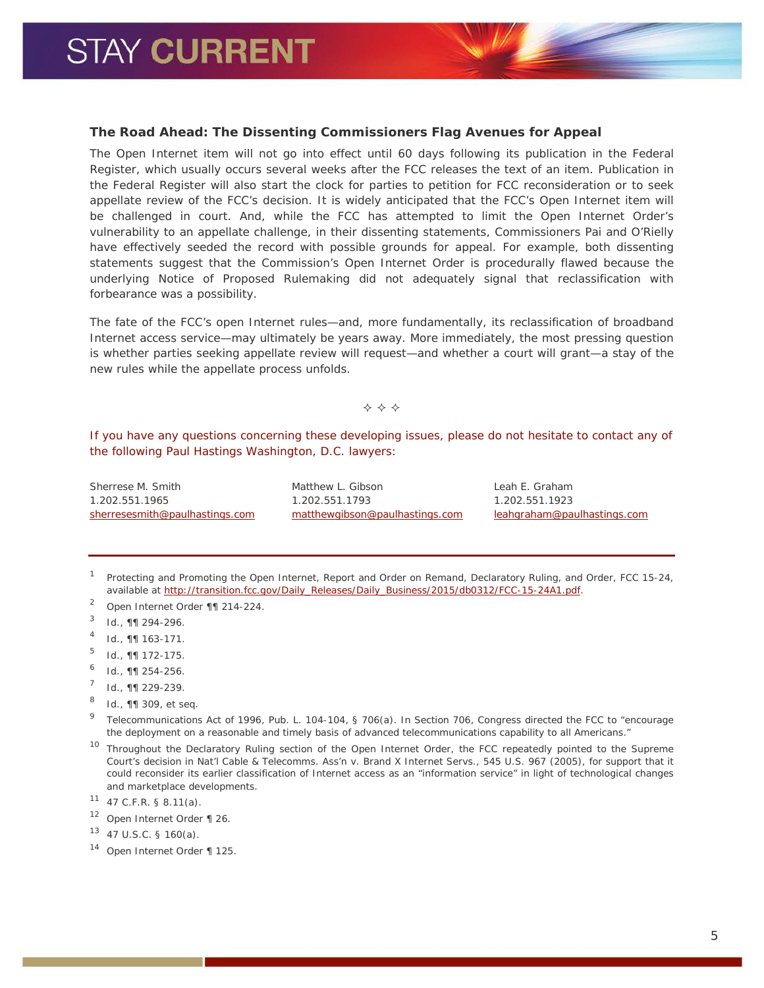## **The Road Ahead: The Dissenting Commissioners Flag Avenues for Appeal**

The Open Internet item will not go into effect until 60 days following its publication in the *Federal Register*, which usually occurs several weeks after the FCC releases the text of an item. Publication in the *Federal Register* will also start the clock for parties to petition for FCC reconsideration or to seek appellate review of the FCC's decision. It is widely anticipated that the FCC's Open Internet item will be challenged in court. And, while the FCC has attempted to limit the Open Internet Order's vulnerability to an appellate challenge, in their dissenting statements, Commissioners Pai and O'Rielly have effectively seeded the record with possible grounds for appeal. For example, both dissenting statements suggest that the Commission's Open Internet Order is procedurally flawed because the underlying Notice of Proposed Rulemaking did not adequately signal that reclassification with forbearance was a possibility.

The fate of the FCC's open Internet rules—and, more fundamentally, its reclassification of broadband Internet access service—may ultimately be years away. More immediately, the most pressing question is whether parties seeking appellate review will request—and whether a court will grant—a stay of the new rules while the appellate process unfolds.

 $\Leftrightarrow$   $\Leftrightarrow$   $\Leftrightarrow$ 

*If you have any questions concerning these developing issues, please do not hesitate to contact any of the following Paul Hastings Washington, D.C. lawyers:*

Sherrese M. Smith 1.202.551.1965 [sherresesmith@paulhastings.com](mailto:sherresesmith@paulhastings.com) Matthew L. Gibson 1.202.551.1793 [matthewgibson@paulhastings.com](mailto:matthewgibson@paulhastings.com) Leah E. Graham 1.202.551.1923 [leahgraham@paulhastings.com](mailto:leahgraham@paulhastings.com)

<span id="page-4-0"></span><sup>1</sup> *Protecting and Promoting the Open Internet*, Report and Order on Remand*,* Declaratory Ruling, and Order, FCC 15-24, available at [http://transition.fcc.gov/Daily\\_Releases/Daily\\_Business/2015/db0312/FCC-15-24A1.pdf.](http://transition.fcc.gov/Daily_Releases/Daily_Business/2015/db0312/FCC-15-24A1.pdf)

- <sup>2</sup> *Open Internet Order* ¶¶ 214-224.
- <sup>3</sup> *Id.*, ¶¶ 294-296.
- <sup>4</sup> *Id.*, ¶¶ 163-171.
- $10^{5}$  *Id.*, **11** 172-175.
- <sup>6</sup> *Id.,* ¶¶ 254-256.
- <sup>7</sup> *Id.*, ¶¶ 229-239.
- <sup>8</sup> *Id.*, ¶¶ 309, *et seq.*
- <sup>9</sup> Telecommunications Act of 1996, Pub. L. 104-104, § 706(a). In Section 706, Congress directed the FCC to "encourage the deployment on a reasonable and timely basis of advanced telecommunications capability to all Americans."
- <sup>10</sup> Throughout the Declaratory Ruling section of the Open Internet Order, the FCC repeatedly pointed to the Supreme Court's decision in *Nat'l Cable & Telecomms. Ass'n v. Brand X Internet Servs.*, 545 U.S. 967 (2005), for support that it could reconsider its earlier classification of Internet access as an "information service" in light of technological changes and marketplace developments.

 $11$  47 C.F.R. § 8.11(a).

<sup>12</sup> *Open Internet Order* ¶ 26.

<sup>14</sup> *Open Internet Order* ¶ 125.

<sup>13</sup> 47 U.S.C. § 160(a).